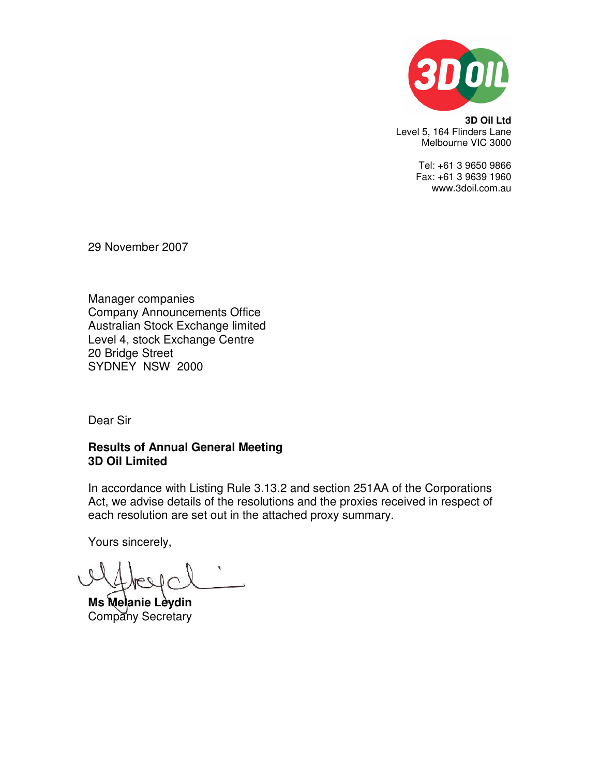

**3D Oil Ltd**  Level 5, 164 Flinders Lane Melbourne VIC 3000

> Tel: +61 3 9650 9866 Fax: +61 3 9639 1960 www.3doil.com.au

29 November 2007

Manager companies Company Announcements Office Australian Stock Exchange limited Level 4, stock Exchange Centre 20 Bridge Street SYDNEY NSW 2000

Dear Sir

# **Results of Annual General Meeting 3D Oil Limited**

In accordance with Listing Rule 3.13.2 and section 251AA of the Corporations Act, we advise details of the resolutions and the proxies received in respect of each resolution are set out in the attached proxy summary.

Yours sincerely,

**Ms Melanie Leydin**  Company Secretary